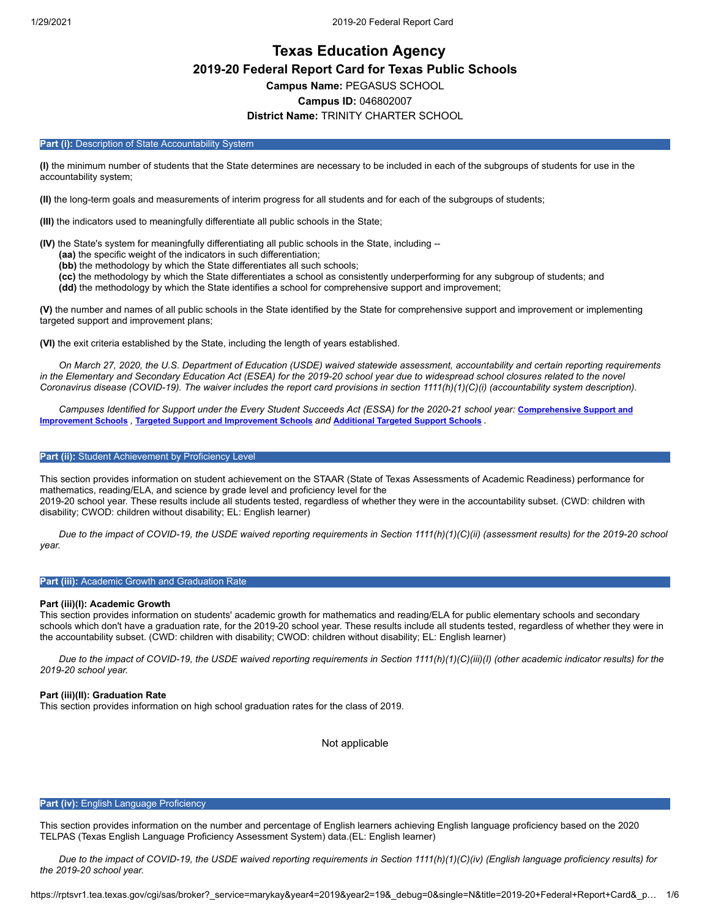# **Texas Education Agency 2019-20 Federal Report Card for Texas Public Schools Campus Name:** PEGASUS SCHOOL **Campus ID:** 046802007 **District Name:** TRINITY CHARTER SCHOOL

#### Part (i): Description of State Accountability System

**(I)** the minimum number of students that the State determines are necessary to be included in each of the subgroups of students for use in the accountability system;

**(II)** the long-term goals and measurements of interim progress for all students and for each of the subgroups of students;

**(III)** the indicators used to meaningfully differentiate all public schools in the State;

**(IV)** the State's system for meaningfully differentiating all public schools in the State, including --

- **(aa)** the specific weight of the indicators in such differentiation;
- **(bb)** the methodology by which the State differentiates all such schools;
- **(cc)** the methodology by which the State differentiates a school as consistently underperforming for any subgroup of students; and **(dd)** the methodology by which the State identifies a school for comprehensive support and improvement;

**(V)** the number and names of all public schools in the State identified by the State for comprehensive support and improvement or implementing targeted support and improvement plans;

**(VI)** the exit criteria established by the State, including the length of years established.

*On March 27, 2020, the U.S. Department of Education (USDE) waived statewide assessment, accountability and certain reporting requirements in the Elementary and Secondary Education Act (ESEA) for the 2019-20 school year due to widespread school closures related to the novel Coronavirus disease (COVID-19). The waiver includes the report card provisions in section 1111(h)(1)(C)(i) (accountability system description).*

*[Campuses Identified for Support under the Every Student Succeeds Act \(ESSA\) for the 2020-21 school year:](https://tea.texas.gov/sites/default/files/comprehensive_support_2020.xlsx)* **Comprehensive Support and Improvement Schools** *,* **Targeted Support and [Improvement](https://tea.texas.gov/sites/default/files/targeted_support_2020.xlsx) Schools** *and* **[Additional](https://tea.texas.gov/sites/default/files/additional_targeted_support_2020.xlsx) Targeted Support Schools** *.*

## Part (ii): Student Achievement by Proficiency Level

This section provides information on student achievement on the STAAR (State of Texas Assessments of Academic Readiness) performance for mathematics, reading/ELA, and science by grade level and proficiency level for the 2019-20 school year. These results include all students tested, regardless of whether they were in the accountability subset. (CWD: children with disability; CWOD: children without disability; EL: English learner)

*Due to the impact of COVID-19, the USDE waived reporting requirements in Section 1111(h)(1)(C)(ii) (assessment results) for the 2019-20 school year.*

#### **Part (iii):** Academic Growth and Graduation Rate

#### **Part (iii)(I): Academic Growth**

This section provides information on students' academic growth for mathematics and reading/ELA for public elementary schools and secondary schools which don't have a graduation rate, for the 2019-20 school year. These results include all students tested, regardless of whether they were in the accountability subset. (CWD: children with disability; CWOD: children without disability; EL: English learner)

*Due to the impact of COVID-19, the USDE waived reporting requirements in Section 1111(h)(1)(C)(iii)(I) (other academic indicator results) for the 2019-20 school year.*

#### **Part (iii)(II): Graduation Rate**

This section provides information on high school graduation rates for the class of 2019.

Not applicable

#### **Part (iv):** English Language Proficiency

This section provides information on the number and percentage of English learners achieving English language proficiency based on the 2020 TELPAS (Texas English Language Proficiency Assessment System) data.(EL: English learner)

*Due to the impact of COVID-19, the USDE waived reporting requirements in Section 1111(h)(1)(C)(iv) (English language proficiency results) for the 2019-20 school year.*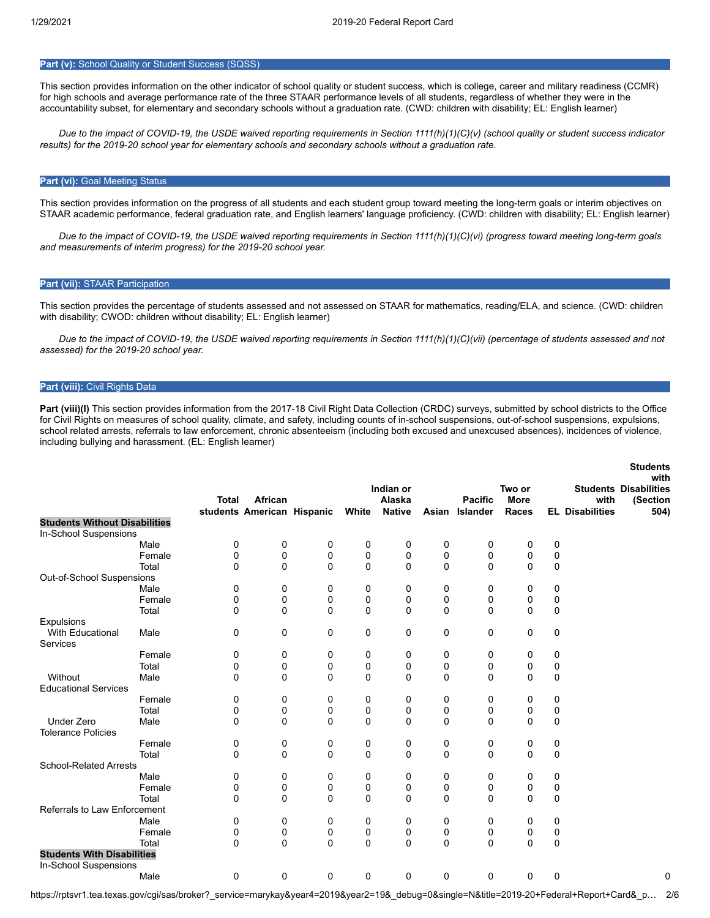# **Part (v):** School Quality or Student Success (SQSS)

This section provides information on the other indicator of school quality or student success, which is college, career and military readiness (CCMR) for high schools and average performance rate of the three STAAR performance levels of all students, regardless of whether they were in the accountability subset, for elementary and secondary schools without a graduation rate. (CWD: children with disability; EL: English learner)

*Due to the impact of COVID-19, the USDE waived reporting requirements in Section 1111(h)(1)(C)(v) (school quality or student success indicator results) for the 2019-20 school year for elementary schools and secondary schools without a graduation rate.*

## **Part (vi): Goal Meeting Status**

This section provides information on the progress of all students and each student group toward meeting the long-term goals or interim objectives on STAAR academic performance, federal graduation rate, and English learners' language proficiency. (CWD: children with disability; EL: English learner)

*Due to the impact of COVID-19, the USDE waived reporting requirements in Section 1111(h)(1)(C)(vi) (progress toward meeting long-term goals and measurements of interim progress) for the 2019-20 school year.*

#### **Part (vii):** STAAR Participation

This section provides the percentage of students assessed and not assessed on STAAR for mathematics, reading/ELA, and science. (CWD: children with disability; CWOD: children without disability; EL: English learner)

*Due to the impact of COVID-19, the USDE waived reporting requirements in Section 1111(h)(1)(C)(vii) (percentage of students assessed and not assessed) for the 2019-20 school year.*

## **Part (viii):** Civil Rights Data

Part (viii)(I) This section provides information from the 2017-18 Civil Right Data Collection (CRDC) surveys, submitted by school districts to the Office for Civil Rights on measures of school quality, climate, and safety, including counts of in-school suspensions, out-of-school suspensions, expulsions, school related arrests, referrals to law enforcement, chronic absenteeism (including both excused and unexcused absences), incidences of violence, including bullying and harassment. (EL: English learner)

|                                      |        |              |                            |   |          |                     |   |                |                       |   |                        | <b>Students</b>                                  |
|--------------------------------------|--------|--------------|----------------------------|---|----------|---------------------|---|----------------|-----------------------|---|------------------------|--------------------------------------------------|
|                                      |        | <b>Total</b> | African                    |   |          | Indian or<br>Alaska |   | <b>Pacific</b> | Two or<br><b>More</b> |   | with                   | with<br><b>Students Disabilities</b><br>(Section |
|                                      |        |              | students American Hispanic |   | White    | <b>Native</b>       |   | Asian Islander | <b>Races</b>          |   | <b>EL Disabilities</b> | 504)                                             |
| <b>Students Without Disabilities</b> |        |              |                            |   |          |                     |   |                |                       |   |                        |                                                  |
| In-School Suspensions                |        |              |                            |   |          |                     |   |                |                       |   |                        |                                                  |
|                                      | Male   | 0            | 0                          | 0 | 0        | 0                   | 0 | 0              | 0                     | 0 |                        |                                                  |
|                                      | Female | 0            | 0                          | 0 | 0        | 0                   | 0 | 0              | 0                     | 0 |                        |                                                  |
|                                      | Total  | 0            | 0                          | 0 | 0        | $\mathbf 0$         | 0 | 0              | 0                     | 0 |                        |                                                  |
| Out-of-School Suspensions            |        |              |                            |   |          |                     |   |                |                       |   |                        |                                                  |
|                                      | Male   | 0            | 0                          | 0 | 0        | 0                   | 0 | 0              | 0                     | 0 |                        |                                                  |
|                                      | Female | 0            | 0                          | 0 | 0        | 0                   | 0 | 0              | 0                     | 0 |                        |                                                  |
|                                      | Total  | 0            | $\mathbf 0$                | 0 | 0        | $\mathbf 0$         | 0 | 0              | 0                     | 0 |                        |                                                  |
| Expulsions                           |        |              |                            |   |          |                     |   |                |                       |   |                        |                                                  |
| <b>With Educational</b>              | Male   | 0            | 0                          | 0 | 0        | 0                   | 0 | 0              | 0                     | 0 |                        |                                                  |
| Services                             |        |              |                            |   |          |                     |   |                |                       |   |                        |                                                  |
|                                      | Female | 0            | 0                          | 0 | 0        | 0                   | 0 | 0              | 0                     | 0 |                        |                                                  |
|                                      | Total  | 0            | 0                          | 0 | 0        | 0                   | 0 | 0              | 0                     | 0 |                        |                                                  |
| Without                              | Male   | 0            | $\mathbf 0$                | 0 | 0        | 0                   | 0 | $\Omega$       | 0                     | 0 |                        |                                                  |
| <b>Educational Services</b>          |        |              |                            |   |          |                     |   |                |                       |   |                        |                                                  |
|                                      | Female | 0            | 0                          | 0 | 0        | 0                   | 0 | 0              | 0                     | 0 |                        |                                                  |
|                                      | Total  | 0            | 0                          | 0 | 0        | 0                   | 0 | 0              | 0                     | 0 |                        |                                                  |
| <b>Under Zero</b>                    | Male   | 0            | $\mathbf{0}$               | 0 | $\Omega$ | $\Omega$            | 0 | $\Omega$       | $\Omega$              | 0 |                        |                                                  |
| <b>Tolerance Policies</b>            |        |              |                            |   |          |                     |   |                |                       |   |                        |                                                  |
|                                      | Female | 0            | 0                          | 0 | 0        | 0                   | 0 | 0              | 0                     | 0 |                        |                                                  |
|                                      | Total  | 0            | $\mathbf 0$                | 0 | 0        | 0                   | 0 | 0              | 0                     | 0 |                        |                                                  |
| <b>School-Related Arrests</b>        |        |              |                            |   |          |                     |   |                |                       |   |                        |                                                  |
|                                      | Male   | 0            | 0                          | 0 | 0        | 0                   | 0 | 0              | 0                     | 0 |                        |                                                  |
|                                      | Female | 0            | 0                          | 0 | 0        | 0                   | 0 | $\mathbf 0$    | 0                     | 0 |                        |                                                  |
|                                      | Total  | 0            | $\mathbf 0$                | 0 | 0        | $\mathbf 0$         | 0 | $\Omega$       | 0                     | 0 |                        |                                                  |
| Referrals to Law Enforcement         |        |              |                            |   |          |                     |   |                |                       |   |                        |                                                  |
|                                      | Male   | 0            | 0                          | 0 | 0        | 0                   | 0 | 0              | 0                     | 0 |                        |                                                  |
|                                      | Female | 0            | 0                          | 0 | 0        | 0                   | 0 | 0              | 0                     | 0 |                        |                                                  |
|                                      | Total  | 0            | $\mathbf 0$                | 0 | 0        | 0                   | 0 | $\mathbf 0$    | 0                     | 0 |                        |                                                  |
| <b>Students With Disabilities</b>    |        |              |                            |   |          |                     |   |                |                       |   |                        |                                                  |
| <b>In-School Suspensions</b>         |        |              |                            |   |          |                     |   |                |                       |   |                        |                                                  |
|                                      | Male   | 0            | 0                          | 0 | 0        | 0                   | 0 | 0              | 0                     | 0 |                        | 0                                                |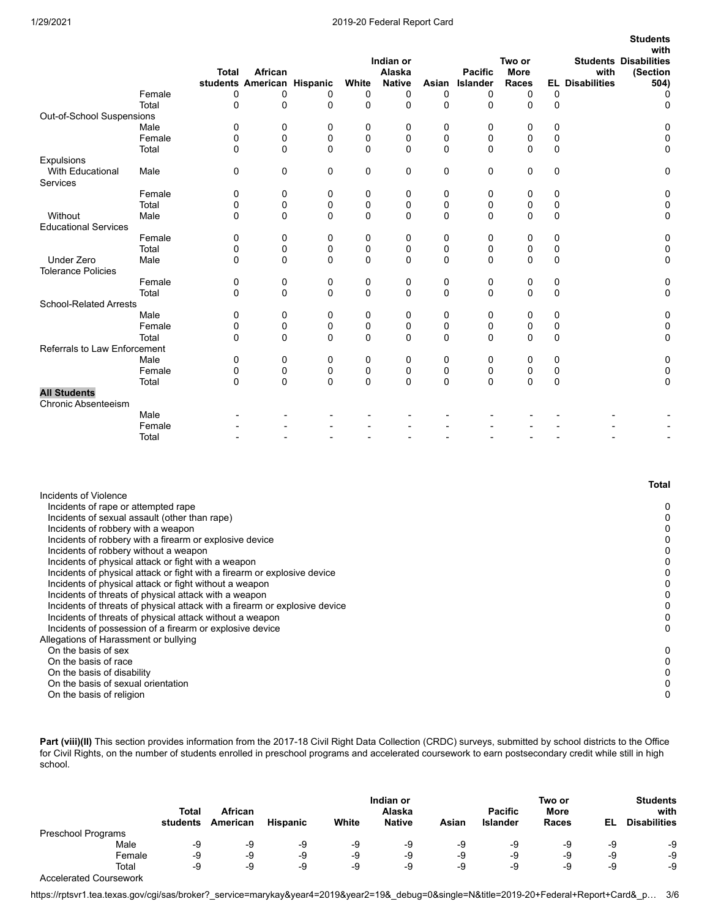## 1/29/2021 2019-20 Federal Report Card

**Students**

|                               |        | <b>Total</b> | African<br>students American Hispanic |             | White    | Indian or<br>Alaska<br><b>Native</b> | Asian       | <b>Pacific</b><br>Islander | Two or<br><b>More</b><br><b>Races</b> |              | with<br><b>EL Disabilities</b> | with<br><b>Students Disabilities</b><br>(Section<br>504) |
|-------------------------------|--------|--------------|---------------------------------------|-------------|----------|--------------------------------------|-------------|----------------------------|---------------------------------------|--------------|--------------------------------|----------------------------------------------------------|
|                               | Female | 0            | 0                                     | 0           | 0        | 0                                    | 0           | 0                          | 0                                     | 0            |                                | 0                                                        |
|                               | Total  | $\Omega$     | 0                                     | $\Omega$    | $\Omega$ | $\Omega$                             | $\Omega$    | 0                          | $\Omega$                              | $\mathbf{0}$ |                                | 0                                                        |
| Out-of-School Suspensions     |        |              |                                       |             |          |                                      |             |                            |                                       |              |                                |                                                          |
|                               | Male   | 0            | 0                                     | 0           | 0        | 0                                    | 0           | 0                          | 0                                     | 0            |                                | 0                                                        |
|                               | Female | 0            | 0                                     | 0           | 0        | 0                                    | 0           | 0                          | $\mathbf 0$                           | 0            |                                | 0                                                        |
|                               | Total  | 0            | 0                                     | $\Omega$    | $\Omega$ | $\Omega$                             | 0           | 0                          | 0                                     | 0            |                                | 0                                                        |
| Expulsions                    |        |              |                                       |             |          |                                      |             |                            |                                       |              |                                |                                                          |
| <b>With Educational</b>       | Male   | 0            | 0                                     | 0           | 0        | $\mathbf 0$                          | 0           | 0                          | 0                                     | 0            |                                | 0                                                        |
| Services                      |        |              |                                       |             |          |                                      |             |                            |                                       |              |                                |                                                          |
|                               | Female | 0            | 0                                     | 0           | 0        | 0                                    | 0           | 0                          | 0                                     | 0            |                                | 0                                                        |
|                               | Total  | 0            | 0                                     | 0           | 0        | 0                                    | 0           | 0                          | $\mathbf 0$                           | 0            |                                | 0                                                        |
| Without                       | Male   | 0            | 0                                     | $\Omega$    | $\Omega$ | $\Omega$                             | 0           | 0                          | $\Omega$                              | 0            |                                | 0                                                        |
| <b>Educational Services</b>   |        |              |                                       |             |          |                                      |             |                            |                                       |              |                                |                                                          |
|                               | Female | 0            | 0                                     | 0           | 0        | 0                                    | 0           | 0                          | 0                                     | 0            |                                | 0                                                        |
|                               | Total  | 0            | 0                                     | 0           | 0        | $\mathbf 0$                          | 0           | 0                          | 0                                     | 0            |                                | 0                                                        |
| <b>Under Zero</b>             | Male   | 0            | 0                                     | $\Omega$    | $\Omega$ | $\Omega$                             | 0           | 0                          | $\Omega$                              | $\Omega$     |                                | 0                                                        |
| <b>Tolerance Policies</b>     |        |              |                                       |             |          |                                      |             |                            |                                       |              |                                |                                                          |
|                               | Female | 0            | 0                                     | 0           | 0        | 0                                    | 0           | 0                          | 0                                     | 0            |                                | 0                                                        |
|                               | Total  | 0            | 0                                     | $\mathbf 0$ | 0        | $\Omega$                             | 0           | 0                          | 0                                     | 0            |                                | 0                                                        |
| <b>School-Related Arrests</b> |        |              |                                       |             |          |                                      |             |                            |                                       |              |                                |                                                          |
|                               | Male   | 0            | 0                                     | 0           | 0        | 0                                    | 0           | 0                          | 0                                     | 0            |                                | 0                                                        |
|                               | Female | 0            | 0                                     | 0           | 0        | 0                                    | 0           | 0                          | 0                                     | 0            |                                | 0                                                        |
|                               | Total  | 0            | 0                                     | $\Omega$    | $\Omega$ | $\Omega$                             | 0           | 0                          | 0                                     | 0            |                                | 0                                                        |
| Referrals to Law Enforcement  |        |              |                                       |             |          |                                      |             |                            |                                       |              |                                |                                                          |
|                               | Male   | 0            | 0                                     | 0           | 0        | 0                                    | 0           | 0                          | 0                                     | 0            |                                | 0                                                        |
|                               | Female | 0            | 0                                     | 0           | 0        | 0                                    | 0           | 0                          | 0                                     | 0            |                                | 0                                                        |
|                               | Total  | 0            | $\mathbf 0$                           | $\Omega$    | $\Omega$ | $\Omega$                             | $\mathbf 0$ | $\mathbf 0$                | $\mathbf 0$                           | $\mathbf 0$  |                                | 0                                                        |
| <b>All Students</b>           |        |              |                                       |             |          |                                      |             |                            |                                       |              |                                |                                                          |
| <b>Chronic Absenteeism</b>    |        |              |                                       |             |          |                                      |             |                            |                                       |              |                                |                                                          |
|                               | Male   |              |                                       |             |          |                                      |             |                            |                                       |              |                                |                                                          |
|                               | Female |              |                                       |             |          |                                      |             |                            |                                       |              |                                |                                                          |
|                               | Total  |              |                                       |             |          |                                      |             |                            |                                       |              |                                |                                                          |

|                                                                            | Total |
|----------------------------------------------------------------------------|-------|
| Incidents of Violence                                                      |       |
| Incidents of rape or attempted rape                                        | 0     |
| Incidents of sexual assault (other than rape)                              |       |
| Incidents of robbery with a weapon                                         |       |
| Incidents of robbery with a firearm or explosive device                    |       |
| Incidents of robbery without a weapon                                      |       |
| Incidents of physical attack or fight with a weapon                        |       |
| Incidents of physical attack or fight with a firearm or explosive device   |       |
| Incidents of physical attack or fight without a weapon                     |       |
| Incidents of threats of physical attack with a weapon                      |       |
| Incidents of threats of physical attack with a firearm or explosive device |       |
| Incidents of threats of physical attack without a weapon                   |       |
| Incidents of possession of a firearm or explosive device                   | 0     |
| Allegations of Harassment or bullying                                      |       |
| On the basis of sex                                                        | 0     |
| On the basis of race                                                       |       |
| On the basis of disability                                                 |       |
| On the basis of sexual orientation                                         |       |
| On the basis of religion                                                   |       |
|                                                                            |       |

Part (viii)(II) This section provides information from the 2017-18 Civil Right Data Collection (CRDC) surveys, submitted by school districts to the Office for Civil Rights, on the number of students enrolled in preschool programs and accelerated coursework to earn postsecondary credit while still in high school.

|                               | <b>Total</b><br>students | African<br>American | <b>Hispanic</b> | White | Indian or<br>Alaska<br><b>Native</b> | Asian | <b>Pacific</b><br><b>Islander</b> | Two or<br>More<br>Races | EL | <b>Students</b><br>with<br><b>Disabilities</b> |
|-------------------------------|--------------------------|---------------------|-----------------|-------|--------------------------------------|-------|-----------------------------------|-------------------------|----|------------------------------------------------|
| Preschool Programs            |                          |                     |                 |       |                                      |       |                                   |                         |    |                                                |
| Male                          | -9                       | -9                  | -9              | -9    | -9                                   | -9    | -9                                | -9                      | -9 | -9                                             |
| Female                        | -9                       | -9                  | -9              | -9    | -9                                   | -9    | -9                                | -9                      | -9 | -9                                             |
| Total                         | -9                       | -9                  | -9              | -9    | -9                                   | -9    | -9                                | -9                      | -9 | -9                                             |
| <b>Accelerated Coursework</b> |                          |                     |                 |       |                                      |       |                                   |                         |    |                                                |

https://rptsvr1.tea.texas.gov/cgi/sas/broker?\_service=marykay&year4=2019&year2=19&\_debug=0&single=N&title=2019-20+Federal+Report+Card&\_p… 3/6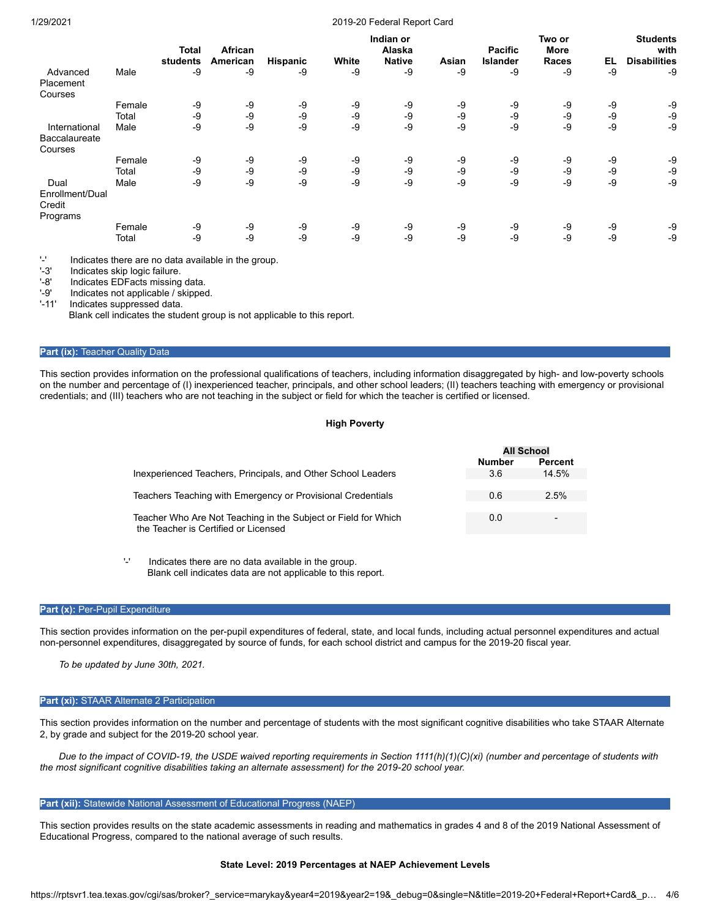#### 1/29/2021 2019-20 Federal Report Card

|                                               |        | <b>Total</b> | African  |          |       | Indian or<br>Alaska |       | <b>Pacific</b>  | Two or<br>More |    | <b>Students</b><br>with |
|-----------------------------------------------|--------|--------------|----------|----------|-------|---------------------|-------|-----------------|----------------|----|-------------------------|
|                                               |        | students     | American | Hispanic | White | <b>Native</b>       | Asian | <b>Islander</b> | <b>Races</b>   | EL | <b>Disabilities</b>     |
| Advanced<br>Placement                         | Male   | -9           | -9       | -9       | -9    | -9                  | -9    | -9              | -9             | -9 | -9                      |
| Courses                                       |        |              |          |          |       |                     |       |                 |                |    |                         |
|                                               | Female | -9           | -9       | -9       | -9    | -9                  | -9    | -9              | -9             | -9 | -9                      |
|                                               | Total  | -9           | $-9$     | -9       | $-9$  | -9                  | -9    | -9              | -9             | -9 | -9                      |
| International                                 | Male   | $-9$         | -9       | -9       | $-9$  | -9                  | -9    | $-9$            | -9             | -9 | -9                      |
| <b>Baccalaureate</b><br>Courses               |        |              |          |          |       |                     |       |                 |                |    |                         |
|                                               | Female | -9           | -9       | -9       | -9    | -9                  | -9    | -9              | -9             | -9 | -9                      |
|                                               | Total  | $-9$         | $-9$     | $-9$     | $-9$  | -9                  | -9    | $-9$            | -9             | -9 | -9                      |
| Dual<br>Enrollment/Dual<br>Credit<br>Programs | Male   | -9           | -9       | -9       | -9    | -9                  | -9    | -9              | -9             | -9 | -9                      |
|                                               | Female | -9           | -9       | -9       | -9    | -9                  | -9    | -9              | -9             | -9 | -9                      |
|                                               | Total  | -9           | -9       | -9       | $-9$  | -9                  | -9    | -9              | -9             | -9 | -9                      |

 $'$ -' Indicates there are no data available in the group.<br> $'\cdot$ 3' Indicates skin logic failure

Indicates skip logic failure.

'-8' Indicates EDFacts missing data.

'-9' Indicates not applicable / skipped.

'-11' Indicates suppressed data.

Blank cell indicates the student group is not applicable to this report.

#### **Part (ix): Teacher Quality Data**

This section provides information on the professional qualifications of teachers, including information disaggregated by high- and low-poverty schools on the number and percentage of (I) inexperienced teacher, principals, and other school leaders; (II) teachers teaching with emergency or provisional credentials; and (III) teachers who are not teaching in the subject or field for which the teacher is certified or licensed.

## **High Poverty**

**All School**

|                                                                | <b>Number</b> | Percent |
|----------------------------------------------------------------|---------------|---------|
| Inexperienced Teachers, Principals, and Other School Leaders   | 3.6           | 14.5%   |
|                                                                |               |         |
| Teachers Teaching with Emergency or Provisional Credentials    | 0.6           | 2.5%    |
|                                                                |               |         |
| Teacher Who Are Not Teaching in the Subject or Field for Which | 0.0           | -       |
| the Teacher is Certified or Licensed                           |               |         |
|                                                                |               |         |

'-' Indicates there are no data available in the group. Blank cell indicates data are not applicable to this report.

#### **Part (x): Per-Pupil Expenditure**

This section provides information on the per-pupil expenditures of federal, state, and local funds, including actual personnel expenditures and actual non-personnel expenditures, disaggregated by source of funds, for each school district and campus for the 2019-20 fiscal year.

*To be updated by June 30th, 2021.*

#### **Part (xi):** STAAR Alternate 2 Participation

This section provides information on the number and percentage of students with the most significant cognitive disabilities who take STAAR Alternate 2, by grade and subject for the 2019-20 school year.

*Due to the impact of COVID-19, the USDE waived reporting requirements in Section 1111(h)(1)(C)(xi) (number and percentage of students with the most significant cognitive disabilities taking an alternate assessment) for the 2019-20 school year.*

#### **Part (xii):** Statewide National Assessment of Educational Progress (NAEP)

This section provides results on the state academic assessments in reading and mathematics in grades 4 and 8 of the 2019 National Assessment of Educational Progress, compared to the national average of such results.

#### **State Level: 2019 Percentages at NAEP Achievement Levels**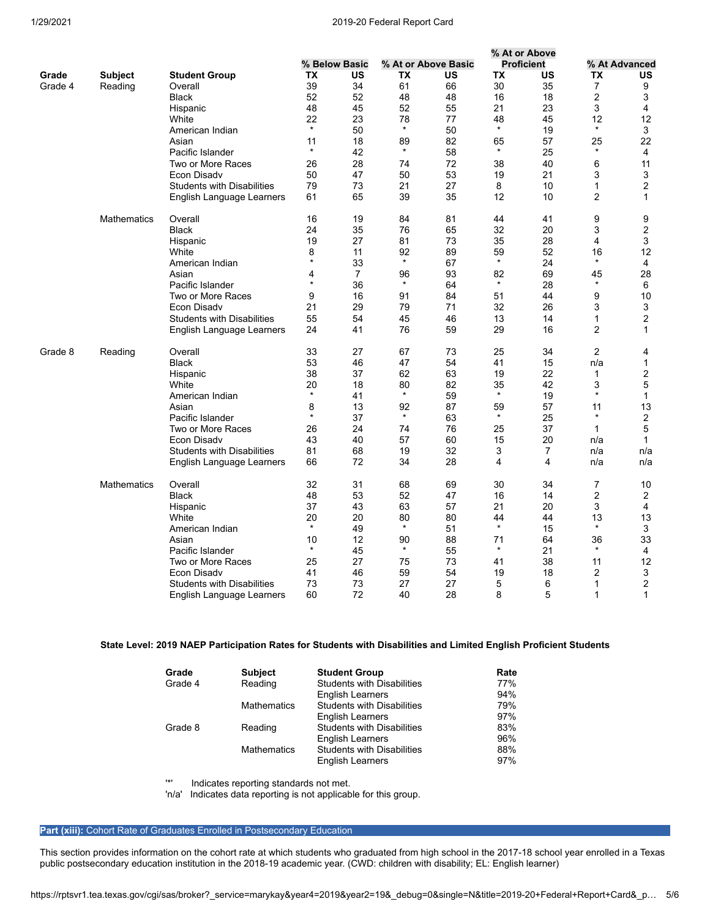#### 1/29/2021 2019-20 Federal Report Card

|         |                    |                                   |               |                |         |                     |         | % At or Above     |                |                |  |
|---------|--------------------|-----------------------------------|---------------|----------------|---------|---------------------|---------|-------------------|----------------|----------------|--|
|         |                    |                                   | % Below Basic |                |         | % At or Above Basic |         | <b>Proficient</b> | % At Advanced  |                |  |
| Grade   | <b>Subject</b>     | <b>Student Group</b>              | ТX            | US             | ТX      | US                  | ТX      | US                | ТX             | US             |  |
| Grade 4 | Reading            | Overall                           | 39            | 34             | 61      | 66                  | 30      | 35                | $\overline{7}$ | 9              |  |
|         |                    | <b>Black</b>                      | 52            | 52             | 48      | 48                  | 16      | 18                | $\overline{2}$ | 3              |  |
|         |                    | Hispanic                          | 48            | 45             | 52      | 55                  | 21      | 23                | 3              | 4              |  |
|         |                    | White                             | 22            | 23             | 78      | 77                  | 48      | 45                | 12             | 12             |  |
|         |                    | American Indian                   | $\star$       | 50             | $\star$ | 50                  | $\star$ | 19                | $\star$        | 3              |  |
|         |                    | Asian                             | 11            | 18             | 89      | 82                  | 65      | 57                | 25             | 22             |  |
|         |                    | Pacific Islander                  | $\star$       | 42             | $\star$ | 58                  | $\star$ | 25                | $\star$        | 4              |  |
|         |                    | Two or More Races                 | 26            | 28             | 74      | 72                  | 38      | 40                | 6              | 11             |  |
|         |                    | Econ Disady                       | 50            | 47             | 50      | 53                  | 19      | 21                | 3              | 3              |  |
|         |                    | <b>Students with Disabilities</b> | 79            | 73             | 21      | 27                  | 8       | 10                | $\mathbf{1}$   | $\overline{2}$ |  |
|         |                    | English Language Learners         | 61            | 65             | 39      | 35                  | 12      | 10                | 2              | 1              |  |
|         | <b>Mathematics</b> | Overall                           | 16            | 19             | 84      | 81                  | 44      | 41                | 9              | 9              |  |
|         |                    | Black                             | 24            | 35             | 76      | 65                  | 32      | 20                | 3              | 2              |  |
|         |                    | Hispanic                          | 19            | 27             | 81      | 73                  | 35      | 28                | 4              | 3              |  |
|         |                    | White                             | 8             | 11             | 92      | 89                  | 59      | 52                | 16             | 12             |  |
|         |                    | American Indian                   | $\star$       | 33             | $\star$ | 67                  | $\star$ | 24                | $\star$        | 4              |  |
|         |                    | Asian                             | 4             | $\overline{7}$ | 96      | 93                  | 82      | 69                | 45             | 28             |  |
|         |                    | Pacific Islander                  | $\star$       | 36             | $\star$ | 64                  | $\star$ | 28                | $\star$        | 6              |  |
|         |                    | Two or More Races                 | 9             | 16             | 91      | 84                  | 51      | 44                | 9              | 10             |  |
|         |                    | Econ Disadv                       | 21            | 29             | 79      | 71                  | 32      | 26                | 3              | 3              |  |
|         |                    | <b>Students with Disabilities</b> | 55            | 54             | 45      | 46                  | 13      | 14                | 1              | $\overline{2}$ |  |
|         |                    | English Language Learners         | 24            | 41             | 76      | 59                  | 29      | 16                | 2              | 1              |  |
| Grade 8 | Reading            | Overall                           | 33            | 27             | 67      | 73                  | 25      | 34                | $\overline{2}$ | 4              |  |
|         |                    | <b>Black</b>                      | 53            | 46             | 47      | 54                  | 41      | 15                | n/a            | 1              |  |
|         |                    | Hispanic                          | 38            | 37             | 62      | 63                  | 19      | 22                | $\mathbf 1$    | 2              |  |
|         |                    | White                             | 20            | 18             | 80      | 82                  | 35      | 42                | 3              | 5              |  |
|         |                    | American Indian                   | $\star$       | 41             | $\star$ | 59                  | $\star$ | 19                | $\star$        | $\mathbf{1}$   |  |
|         |                    | Asian                             | 8             | 13             | 92      | 87                  | 59      | 57                | 11             | 13             |  |
|         |                    | Pacific Islander                  | $\star$       | 37             | $\star$ | 63                  | $\star$ | 25                | $\star$        | 2              |  |
|         |                    | Two or More Races                 | 26            | 24             | 74      | 76                  | 25      | 37                | $\mathbf{1}$   | 5              |  |
|         |                    | Econ Disadv                       | 43            | 40             | 57      | 60                  | 15      | 20                | n/a            | 1              |  |
|         |                    | <b>Students with Disabilities</b> | 81            | 68             | 19      | 32                  | 3       | 7                 | n/a            | n/a            |  |
|         |                    | English Language Learners         | 66            | 72             | 34      | 28                  | 4       | 4                 | n/a            | n/a            |  |
|         | <b>Mathematics</b> | Overall                           | 32            | 31             | 68      | 69                  | 30      | 34                | 7              | 10             |  |
|         |                    | <b>Black</b>                      | 48            | 53             | 52      | 47                  | 16      | 14                | 2              | $\overline{2}$ |  |
|         |                    | Hispanic                          | 37            | 43             | 63      | 57                  | 21      | 20                | 3              | 4              |  |
|         |                    | White                             | 20            | 20             | 80      | 80                  | 44      | 44                | 13             | 13             |  |
|         |                    | American Indian                   | $\star$       | 49             | $\star$ | 51                  | $\star$ | 15                | $\star$        | 3              |  |
|         |                    | Asian                             | 10            | 12             | 90      | 88                  | 71      | 64                | 36             | 33             |  |
|         |                    | Pacific Islander                  | $\star$       | 45             | $\star$ | 55                  | $\star$ | 21                | $\star$        | 4              |  |
|         |                    | Two or More Races                 | 25            | 27             | 75      | 73                  | 41      | 38                | 11             | 12             |  |
|         |                    | Econ Disady                       | 41            | 46             | 59      | 54                  | 19      | 18                | 2              | 3              |  |
|         |                    | <b>Students with Disabilities</b> | 73            | 73             | 27      | 27                  | 5       | 6                 | 1              | $\overline{2}$ |  |
|         |                    | English Language Learners         | 60            | 72             | 40      | 28                  | 8       | 5                 | 1              | $\mathbf{1}$   |  |

## **State Level: 2019 NAEP Participation Rates for Students with Disabilities and Limited English Proficient Students**

| Grade   | <b>Subject</b>     | <b>Student Group</b>              | Rate |
|---------|--------------------|-----------------------------------|------|
| Grade 4 | Reading            | <b>Students with Disabilities</b> | 77%  |
|         |                    | <b>English Learners</b>           | 94%  |
|         | <b>Mathematics</b> | <b>Students with Disabilities</b> | 79%  |
|         |                    | English Learners                  | 97%  |
| Grade 8 | Reading            | <b>Students with Disabilities</b> | 83%  |
|         |                    | <b>English Learners</b>           | 96%  |
|         | <b>Mathematics</b> | <b>Students with Disabilities</b> | 88%  |
|         |                    | <b>English Learners</b>           | 97%  |

'\*' Indicates reporting standards not met.

'n/a' Indicates data reporting is not applicable for this group.

# **Part (xiii):** Cohort Rate of Graduates Enrolled in Postsecondary Education

This section provides information on the cohort rate at which students who graduated from high school in the 2017-18 school year enrolled in a Texas public postsecondary education institution in the 2018-19 academic year. (CWD: children with disability; EL: English learner)